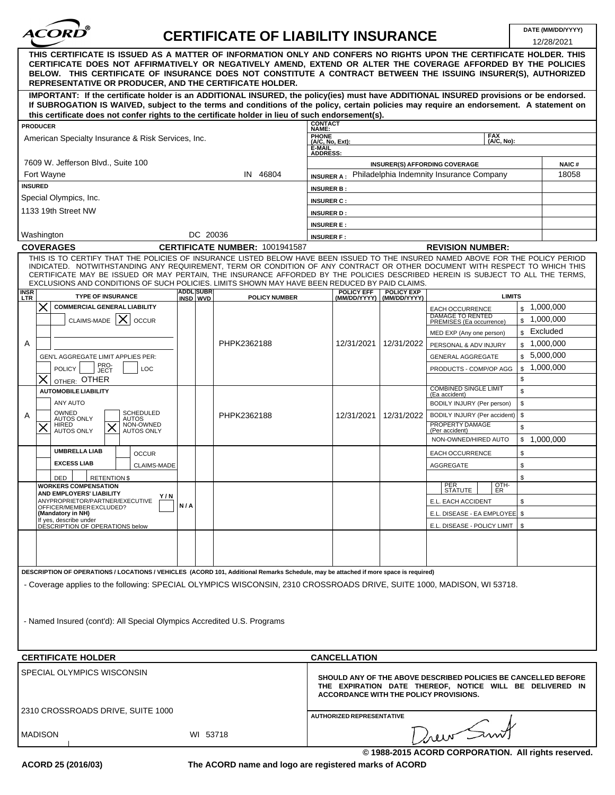

## **CERTIFICATE OF LIABILITY INSURANCE DATE (MM/DD/YYYY)**

| REPRESENTATIVE OR PRODUCER, AND THE CERTIFICATE HOLDER.<br>If SUBROGATION IS WAIVED, subject to the terms and conditions of the policy, certain policies may require an endorsement. A statement on<br>this certificate does not confer rights to the certificate holder in lieu of such endorsement(s).<br><b>CONTACT</b><br><b>PRODUCER</b><br>NAME:<br><b>PHONE</b><br><b>FAX</b><br>American Specialty Insurance & Risk Services, Inc.<br>(A/C, No, Ext):<br>(A/C. No):<br>E-MAIL<br><b>ADDRESS:</b><br>7609 W. Jefferson Blvd., Suite 100<br><b>INSURER(S) AFFORDING COVERAGE</b><br><b>NAIC#</b><br>Fort Wayne<br>IN 46804<br>Philadelphia Indemnity Insurance Company<br>18058<br><b>INSURER A:</b><br><b>INSURED</b><br><b>INSURER B:</b><br>Special Olympics, Inc.<br><b>INSURER C:</b><br>1133 19th Street NW<br><b>INSURER D:</b><br><b>INSURER E:</b><br>DC 20036<br>Washington<br><b>INSURER F:</b><br>CERTIFICATE NUMBER: 1001941587<br><b>COVERAGES</b><br><b>REVISION NUMBER:</b><br>THIS IS TO CERTIFY THAT THE POLICIES OF INSURANCE LISTED BELOW HAVE BEEN ISSUED TO THE INSURED NAMED ABOVE FOR THE POLICY PERIOD<br>EXCLUSIONS AND CONDITIONS OF SUCH POLICIES. LIMITS SHOWN MAY HAVE BEEN REDUCED BY PAID CLAIMS.<br><b>ADDL SUBR</b><br><b>POLICY EFF</b><br><b>POLICY EXP</b><br><b>TYPE OF INSURANCE</b><br><b>LIMITS</b><br><b>POLICY NUMBER</b><br>INSD WVD<br>(MM/DD/YYYY)<br>(MM/DD/YYYY)<br><b>COMMERCIAL GENERAL LIABILITY</b><br>\$1,000,000<br><b>EACH OCCURRENCE</b><br><b>DAMAGE TO RENTED</b><br>\$1,000,000<br>CLAIMS-MADE $\mathsf{X}$<br><b>OCCUR</b><br>PREMISES (Ea occurrence)<br>\$ Excluded<br>MED EXP (Any one person)<br>PHPK2362188<br>12/31/2021<br>A<br>12/31/2022<br>$\frac{1,000,000}{2}$<br>PERSONAL & ADV INJURY<br>\$5,000,000<br>GEN'L AGGREGATE LIMIT APPLIES PER:<br><b>GENERAL AGGREGATE</b><br>PRO-<br>JECT<br>1,000,000<br>LOC<br>\$<br><b>POLICY</b><br>PRODUCTS - COMP/OP AGG<br>\$<br>OTHER: OTHER<br><b>COMBINED SINGLE LIMIT</b><br><b>AUTOMOBILE LIABILITY</b><br>\$<br>(Ea accident)<br>ANY AUTO<br>\$<br>BODILY INJURY (Per person)<br>OWNED<br><b>SCHEDULED</b><br>\$<br>12/31/2021<br>BODILY INJURY (Per accident)<br>Α<br>PHPK2362188<br>12/31/2022<br><b>AUTOS ONLY</b><br><b>AUTOS</b><br>NON-OWNED<br>PROPERTY DAMAGE<br>HIRED<br>\$<br><b>AUTOS ONLY</b><br>(Per accident)<br><b>AUTOS ONLY</b><br>NON-OWNED/HIRED AUTO<br>\$1,000,000<br><b>UMBRELLA LIAB</b><br><b>OCCUR</b><br>EACH OCCURRENCE<br>\$<br><b>EXCESS LIAB</b><br>\$<br><b>CLAIMS-MADE</b><br>AGGREGATE<br>\$<br><b>RETENTION \$</b><br>DED<br>PER<br>OTH-<br><b>WORKERS COMPENSATION</b><br>ISIAIUIE I<br>1 ER<br>AND EMPLOYERS' LIABILITY<br>Y/N<br>ANYPROPRIETOR/PARTNER/EXECUTIVE<br>\$<br>E.L. EACH ACCIDENT<br>N/A<br>OFFICER/MEMBER EXCLUDED?<br>(Mandatory in NH)<br>E.L. DISEASE - EA EMPLOYEE   \$<br>If yes, describe under<br>DESCRIPTION OF OPERATIONS below<br>E.L. DISEASE - POLICY LIMIT<br>\$<br>DESCRIPTION OF OPERATIONS / LOCATIONS / VEHICLES (ACORD 101, Additional Remarks Schedule, may be attached if more space is required)<br>- Coverage applies to the following: SPECIAL OLYMPICS WISCONSIN, 2310 CROSSROADS DRIVE, SUITE 1000, MADISON, WI 53718.<br>- Named Insured (cont'd): All Special Olympics Accredited U.S. Programs<br><b>CERTIFICATE HOLDER</b><br><b>CANCELLATION</b><br>SPECIAL OLYMPICS WISCONSIN<br><b>ACCORDANCE WITH THE POLICY PROVISIONS.</b><br>2310 CROSSROADS DRIVE, SUITE 1000<br>AUTHORIZED REPRESENTATIVE | SHOULD ANY OF THE ABOVE DESCRIBED POLICIES BE CANCELLED BEFORE<br>THE EXPIRATION DATE THEREOF, NOTICE WILL BE DELIVERED IN |                                                                                                                                                                                                                                                                                                                                                       |  |  |  |  |  |  |         |  | 12/28/2021 |  |  |
|------------------------------------------------------------------------------------------------------------------------------------------------------------------------------------------------------------------------------------------------------------------------------------------------------------------------------------------------------------------------------------------------------------------------------------------------------------------------------------------------------------------------------------------------------------------------------------------------------------------------------------------------------------------------------------------------------------------------------------------------------------------------------------------------------------------------------------------------------------------------------------------------------------------------------------------------------------------------------------------------------------------------------------------------------------------------------------------------------------------------------------------------------------------------------------------------------------------------------------------------------------------------------------------------------------------------------------------------------------------------------------------------------------------------------------------------------------------------------------------------------------------------------------------------------------------------------------------------------------------------------------------------------------------------------------------------------------------------------------------------------------------------------------------------------------------------------------------------------------------------------------------------------------------------------------------------------------------------------------------------------------------------------------------------------------------------------------------------------------------------------------------------------------------------------------------------------------------------------------------------------------------------------------------------------------------------------------------------------------------------------------------------------------------------------------------------------------------------------------------------------------------------------------------------------------------------------------------------------------------------------------------------------------------------------------------------------------------------------------------------------------------------------------------------------------------------------------------------------------------------------------------------------------------------------------------------------------------------------------------------------------------------------------------------------------------------------------------------------------------------------------------------------------------------------------------------------------------------------------------------------------------------------------------------------------------------------------------------------------------------------------------------------------------------------------------------------------------------------------------------------------|----------------------------------------------------------------------------------------------------------------------------|-------------------------------------------------------------------------------------------------------------------------------------------------------------------------------------------------------------------------------------------------------------------------------------------------------------------------------------------------------|--|--|--|--|--|--|---------|--|------------|--|--|
|                                                                                                                                                                                                                                                                                                                                                                                                                                                                                                                                                                                                                                                                                                                                                                                                                                                                                                                                                                                                                                                                                                                                                                                                                                                                                                                                                                                                                                                                                                                                                                                                                                                                                                                                                                                                                                                                                                                                                                                                                                                                                                                                                                                                                                                                                                                                                                                                                                                                                                                                                                                                                                                                                                                                                                                                                                                                                                                                                                                                                                                                                                                                                                                                                                                                                                                                                                                                                                                                                                            |                                                                                                                            | THIS CERTIFICATE IS ISSUED AS A MATTER OF INFORMATION ONLY AND CONFERS NO RIGHTS UPON THE CERTIFICATE HOLDER. THIS<br>CERTIFICATE DOES NOT AFFIRMATIVELY OR NEGATIVELY AMEND, EXTEND OR ALTER THE COVERAGE AFFORDED BY THE POLICIES<br>BELOW. THIS CERTIFICATE OF INSURANCE DOES NOT CONSTITUTE A CONTRACT BETWEEN THE ISSUING INSURER(S), AUTHORIZED |  |  |  |  |  |  |         |  |            |  |  |
|                                                                                                                                                                                                                                                                                                                                                                                                                                                                                                                                                                                                                                                                                                                                                                                                                                                                                                                                                                                                                                                                                                                                                                                                                                                                                                                                                                                                                                                                                                                                                                                                                                                                                                                                                                                                                                                                                                                                                                                                                                                                                                                                                                                                                                                                                                                                                                                                                                                                                                                                                                                                                                                                                                                                                                                                                                                                                                                                                                                                                                                                                                                                                                                                                                                                                                                                                                                                                                                                                                            |                                                                                                                            | IMPORTANT: If the certificate holder is an ADDITIONAL INSURED, the policy(ies) must have ADDITIONAL INSURED provisions or be endorsed.                                                                                                                                                                                                                |  |  |  |  |  |  |         |  |            |  |  |
|                                                                                                                                                                                                                                                                                                                                                                                                                                                                                                                                                                                                                                                                                                                                                                                                                                                                                                                                                                                                                                                                                                                                                                                                                                                                                                                                                                                                                                                                                                                                                                                                                                                                                                                                                                                                                                                                                                                                                                                                                                                                                                                                                                                                                                                                                                                                                                                                                                                                                                                                                                                                                                                                                                                                                                                                                                                                                                                                                                                                                                                                                                                                                                                                                                                                                                                                                                                                                                                                                                            |                                                                                                                            |                                                                                                                                                                                                                                                                                                                                                       |  |  |  |  |  |  |         |  |            |  |  |
|                                                                                                                                                                                                                                                                                                                                                                                                                                                                                                                                                                                                                                                                                                                                                                                                                                                                                                                                                                                                                                                                                                                                                                                                                                                                                                                                                                                                                                                                                                                                                                                                                                                                                                                                                                                                                                                                                                                                                                                                                                                                                                                                                                                                                                                                                                                                                                                                                                                                                                                                                                                                                                                                                                                                                                                                                                                                                                                                                                                                                                                                                                                                                                                                                                                                                                                                                                                                                                                                                                            |                                                                                                                            |                                                                                                                                                                                                                                                                                                                                                       |  |  |  |  |  |  |         |  |            |  |  |
|                                                                                                                                                                                                                                                                                                                                                                                                                                                                                                                                                                                                                                                                                                                                                                                                                                                                                                                                                                                                                                                                                                                                                                                                                                                                                                                                                                                                                                                                                                                                                                                                                                                                                                                                                                                                                                                                                                                                                                                                                                                                                                                                                                                                                                                                                                                                                                                                                                                                                                                                                                                                                                                                                                                                                                                                                                                                                                                                                                                                                                                                                                                                                                                                                                                                                                                                                                                                                                                                                                            |                                                                                                                            |                                                                                                                                                                                                                                                                                                                                                       |  |  |  |  |  |  |         |  |            |  |  |
|                                                                                                                                                                                                                                                                                                                                                                                                                                                                                                                                                                                                                                                                                                                                                                                                                                                                                                                                                                                                                                                                                                                                                                                                                                                                                                                                                                                                                                                                                                                                                                                                                                                                                                                                                                                                                                                                                                                                                                                                                                                                                                                                                                                                                                                                                                                                                                                                                                                                                                                                                                                                                                                                                                                                                                                                                                                                                                                                                                                                                                                                                                                                                                                                                                                                                                                                                                                                                                                                                                            |                                                                                                                            |                                                                                                                                                                                                                                                                                                                                                       |  |  |  |  |  |  |         |  |            |  |  |
|                                                                                                                                                                                                                                                                                                                                                                                                                                                                                                                                                                                                                                                                                                                                                                                                                                                                                                                                                                                                                                                                                                                                                                                                                                                                                                                                                                                                                                                                                                                                                                                                                                                                                                                                                                                                                                                                                                                                                                                                                                                                                                                                                                                                                                                                                                                                                                                                                                                                                                                                                                                                                                                                                                                                                                                                                                                                                                                                                                                                                                                                                                                                                                                                                                                                                                                                                                                                                                                                                                            |                                                                                                                            |                                                                                                                                                                                                                                                                                                                                                       |  |  |  |  |  |  |         |  |            |  |  |
|                                                                                                                                                                                                                                                                                                                                                                                                                                                                                                                                                                                                                                                                                                                                                                                                                                                                                                                                                                                                                                                                                                                                                                                                                                                                                                                                                                                                                                                                                                                                                                                                                                                                                                                                                                                                                                                                                                                                                                                                                                                                                                                                                                                                                                                                                                                                                                                                                                                                                                                                                                                                                                                                                                                                                                                                                                                                                                                                                                                                                                                                                                                                                                                                                                                                                                                                                                                                                                                                                                            |                                                                                                                            |                                                                                                                                                                                                                                                                                                                                                       |  |  |  |  |  |  |         |  |            |  |  |
|                                                                                                                                                                                                                                                                                                                                                                                                                                                                                                                                                                                                                                                                                                                                                                                                                                                                                                                                                                                                                                                                                                                                                                                                                                                                                                                                                                                                                                                                                                                                                                                                                                                                                                                                                                                                                                                                                                                                                                                                                                                                                                                                                                                                                                                                                                                                                                                                                                                                                                                                                                                                                                                                                                                                                                                                                                                                                                                                                                                                                                                                                                                                                                                                                                                                                                                                                                                                                                                                                                            |                                                                                                                            |                                                                                                                                                                                                                                                                                                                                                       |  |  |  |  |  |  |         |  |            |  |  |
|                                                                                                                                                                                                                                                                                                                                                                                                                                                                                                                                                                                                                                                                                                                                                                                                                                                                                                                                                                                                                                                                                                                                                                                                                                                                                                                                                                                                                                                                                                                                                                                                                                                                                                                                                                                                                                                                                                                                                                                                                                                                                                                                                                                                                                                                                                                                                                                                                                                                                                                                                                                                                                                                                                                                                                                                                                                                                                                                                                                                                                                                                                                                                                                                                                                                                                                                                                                                                                                                                                            |                                                                                                                            |                                                                                                                                                                                                                                                                                                                                                       |  |  |  |  |  |  |         |  |            |  |  |
|                                                                                                                                                                                                                                                                                                                                                                                                                                                                                                                                                                                                                                                                                                                                                                                                                                                                                                                                                                                                                                                                                                                                                                                                                                                                                                                                                                                                                                                                                                                                                                                                                                                                                                                                                                                                                                                                                                                                                                                                                                                                                                                                                                                                                                                                                                                                                                                                                                                                                                                                                                                                                                                                                                                                                                                                                                                                                                                                                                                                                                                                                                                                                                                                                                                                                                                                                                                                                                                                                                            |                                                                                                                            |                                                                                                                                                                                                                                                                                                                                                       |  |  |  |  |  |  |         |  |            |  |  |
|                                                                                                                                                                                                                                                                                                                                                                                                                                                                                                                                                                                                                                                                                                                                                                                                                                                                                                                                                                                                                                                                                                                                                                                                                                                                                                                                                                                                                                                                                                                                                                                                                                                                                                                                                                                                                                                                                                                                                                                                                                                                                                                                                                                                                                                                                                                                                                                                                                                                                                                                                                                                                                                                                                                                                                                                                                                                                                                                                                                                                                                                                                                                                                                                                                                                                                                                                                                                                                                                                                            |                                                                                                                            |                                                                                                                                                                                                                                                                                                                                                       |  |  |  |  |  |  |         |  |            |  |  |
|                                                                                                                                                                                                                                                                                                                                                                                                                                                                                                                                                                                                                                                                                                                                                                                                                                                                                                                                                                                                                                                                                                                                                                                                                                                                                                                                                                                                                                                                                                                                                                                                                                                                                                                                                                                                                                                                                                                                                                                                                                                                                                                                                                                                                                                                                                                                                                                                                                                                                                                                                                                                                                                                                                                                                                                                                                                                                                                                                                                                                                                                                                                                                                                                                                                                                                                                                                                                                                                                                                            |                                                                                                                            |                                                                                                                                                                                                                                                                                                                                                       |  |  |  |  |  |  |         |  |            |  |  |
|                                                                                                                                                                                                                                                                                                                                                                                                                                                                                                                                                                                                                                                                                                                                                                                                                                                                                                                                                                                                                                                                                                                                                                                                                                                                                                                                                                                                                                                                                                                                                                                                                                                                                                                                                                                                                                                                                                                                                                                                                                                                                                                                                                                                                                                                                                                                                                                                                                                                                                                                                                                                                                                                                                                                                                                                                                                                                                                                                                                                                                                                                                                                                                                                                                                                                                                                                                                                                                                                                                            |                                                                                                                            |                                                                                                                                                                                                                                                                                                                                                       |  |  |  |  |  |  |         |  |            |  |  |
|                                                                                                                                                                                                                                                                                                                                                                                                                                                                                                                                                                                                                                                                                                                                                                                                                                                                                                                                                                                                                                                                                                                                                                                                                                                                                                                                                                                                                                                                                                                                                                                                                                                                                                                                                                                                                                                                                                                                                                                                                                                                                                                                                                                                                                                                                                                                                                                                                                                                                                                                                                                                                                                                                                                                                                                                                                                                                                                                                                                                                                                                                                                                                                                                                                                                                                                                                                                                                                                                                                            |                                                                                                                            |                                                                                                                                                                                                                                                                                                                                                       |  |  |  |  |  |  |         |  |            |  |  |
|                                                                                                                                                                                                                                                                                                                                                                                                                                                                                                                                                                                                                                                                                                                                                                                                                                                                                                                                                                                                                                                                                                                                                                                                                                                                                                                                                                                                                                                                                                                                                                                                                                                                                                                                                                                                                                                                                                                                                                                                                                                                                                                                                                                                                                                                                                                                                                                                                                                                                                                                                                                                                                                                                                                                                                                                                                                                                                                                                                                                                                                                                                                                                                                                                                                                                                                                                                                                                                                                                                            |                                                                                                                            | INDICATED. NOTWITHSTANDING ANY REQUIREMENT, TERM OR CONDITION OF ANY CONTRACT OR OTHER DOCUMENT WITH RESPECT TO WHICH THIS<br>CERTIFICATE MAY BE ISSUED OR MAY PERTAIN, THE INSURANCE AFFORDED BY THE POLICIES DESCRIBED HEREIN IS SUBJECT TO ALL THE TERMS,                                                                                          |  |  |  |  |  |  |         |  |            |  |  |
|                                                                                                                                                                                                                                                                                                                                                                                                                                                                                                                                                                                                                                                                                                                                                                                                                                                                                                                                                                                                                                                                                                                                                                                                                                                                                                                                                                                                                                                                                                                                                                                                                                                                                                                                                                                                                                                                                                                                                                                                                                                                                                                                                                                                                                                                                                                                                                                                                                                                                                                                                                                                                                                                                                                                                                                                                                                                                                                                                                                                                                                                                                                                                                                                                                                                                                                                                                                                                                                                                                            |                                                                                                                            | INSR<br><b>LTR</b>                                                                                                                                                                                                                                                                                                                                    |  |  |  |  |  |  |         |  |            |  |  |
|                                                                                                                                                                                                                                                                                                                                                                                                                                                                                                                                                                                                                                                                                                                                                                                                                                                                                                                                                                                                                                                                                                                                                                                                                                                                                                                                                                                                                                                                                                                                                                                                                                                                                                                                                                                                                                                                                                                                                                                                                                                                                                                                                                                                                                                                                                                                                                                                                                                                                                                                                                                                                                                                                                                                                                                                                                                                                                                                                                                                                                                                                                                                                                                                                                                                                                                                                                                                                                                                                                            |                                                                                                                            |                                                                                                                                                                                                                                                                                                                                                       |  |  |  |  |  |  |         |  |            |  |  |
|                                                                                                                                                                                                                                                                                                                                                                                                                                                                                                                                                                                                                                                                                                                                                                                                                                                                                                                                                                                                                                                                                                                                                                                                                                                                                                                                                                                                                                                                                                                                                                                                                                                                                                                                                                                                                                                                                                                                                                                                                                                                                                                                                                                                                                                                                                                                                                                                                                                                                                                                                                                                                                                                                                                                                                                                                                                                                                                                                                                                                                                                                                                                                                                                                                                                                                                                                                                                                                                                                                            |                                                                                                                            |                                                                                                                                                                                                                                                                                                                                                       |  |  |  |  |  |  |         |  |            |  |  |
|                                                                                                                                                                                                                                                                                                                                                                                                                                                                                                                                                                                                                                                                                                                                                                                                                                                                                                                                                                                                                                                                                                                                                                                                                                                                                                                                                                                                                                                                                                                                                                                                                                                                                                                                                                                                                                                                                                                                                                                                                                                                                                                                                                                                                                                                                                                                                                                                                                                                                                                                                                                                                                                                                                                                                                                                                                                                                                                                                                                                                                                                                                                                                                                                                                                                                                                                                                                                                                                                                                            |                                                                                                                            |                                                                                                                                                                                                                                                                                                                                                       |  |  |  |  |  |  |         |  |            |  |  |
|                                                                                                                                                                                                                                                                                                                                                                                                                                                                                                                                                                                                                                                                                                                                                                                                                                                                                                                                                                                                                                                                                                                                                                                                                                                                                                                                                                                                                                                                                                                                                                                                                                                                                                                                                                                                                                                                                                                                                                                                                                                                                                                                                                                                                                                                                                                                                                                                                                                                                                                                                                                                                                                                                                                                                                                                                                                                                                                                                                                                                                                                                                                                                                                                                                                                                                                                                                                                                                                                                                            |                                                                                                                            |                                                                                                                                                                                                                                                                                                                                                       |  |  |  |  |  |  |         |  |            |  |  |
|                                                                                                                                                                                                                                                                                                                                                                                                                                                                                                                                                                                                                                                                                                                                                                                                                                                                                                                                                                                                                                                                                                                                                                                                                                                                                                                                                                                                                                                                                                                                                                                                                                                                                                                                                                                                                                                                                                                                                                                                                                                                                                                                                                                                                                                                                                                                                                                                                                                                                                                                                                                                                                                                                                                                                                                                                                                                                                                                                                                                                                                                                                                                                                                                                                                                                                                                                                                                                                                                                                            |                                                                                                                            |                                                                                                                                                                                                                                                                                                                                                       |  |  |  |  |  |  |         |  |            |  |  |
|                                                                                                                                                                                                                                                                                                                                                                                                                                                                                                                                                                                                                                                                                                                                                                                                                                                                                                                                                                                                                                                                                                                                                                                                                                                                                                                                                                                                                                                                                                                                                                                                                                                                                                                                                                                                                                                                                                                                                                                                                                                                                                                                                                                                                                                                                                                                                                                                                                                                                                                                                                                                                                                                                                                                                                                                                                                                                                                                                                                                                                                                                                                                                                                                                                                                                                                                                                                                                                                                                                            |                                                                                                                            |                                                                                                                                                                                                                                                                                                                                                       |  |  |  |  |  |  |         |  |            |  |  |
|                                                                                                                                                                                                                                                                                                                                                                                                                                                                                                                                                                                                                                                                                                                                                                                                                                                                                                                                                                                                                                                                                                                                                                                                                                                                                                                                                                                                                                                                                                                                                                                                                                                                                                                                                                                                                                                                                                                                                                                                                                                                                                                                                                                                                                                                                                                                                                                                                                                                                                                                                                                                                                                                                                                                                                                                                                                                                                                                                                                                                                                                                                                                                                                                                                                                                                                                                                                                                                                                                                            |                                                                                                                            |                                                                                                                                                                                                                                                                                                                                                       |  |  |  |  |  |  |         |  |            |  |  |
|                                                                                                                                                                                                                                                                                                                                                                                                                                                                                                                                                                                                                                                                                                                                                                                                                                                                                                                                                                                                                                                                                                                                                                                                                                                                                                                                                                                                                                                                                                                                                                                                                                                                                                                                                                                                                                                                                                                                                                                                                                                                                                                                                                                                                                                                                                                                                                                                                                                                                                                                                                                                                                                                                                                                                                                                                                                                                                                                                                                                                                                                                                                                                                                                                                                                                                                                                                                                                                                                                                            |                                                                                                                            |                                                                                                                                                                                                                                                                                                                                                       |  |  |  |  |  |  |         |  |            |  |  |
|                                                                                                                                                                                                                                                                                                                                                                                                                                                                                                                                                                                                                                                                                                                                                                                                                                                                                                                                                                                                                                                                                                                                                                                                                                                                                                                                                                                                                                                                                                                                                                                                                                                                                                                                                                                                                                                                                                                                                                                                                                                                                                                                                                                                                                                                                                                                                                                                                                                                                                                                                                                                                                                                                                                                                                                                                                                                                                                                                                                                                                                                                                                                                                                                                                                                                                                                                                                                                                                                                                            |                                                                                                                            |                                                                                                                                                                                                                                                                                                                                                       |  |  |  |  |  |  |         |  |            |  |  |
|                                                                                                                                                                                                                                                                                                                                                                                                                                                                                                                                                                                                                                                                                                                                                                                                                                                                                                                                                                                                                                                                                                                                                                                                                                                                                                                                                                                                                                                                                                                                                                                                                                                                                                                                                                                                                                                                                                                                                                                                                                                                                                                                                                                                                                                                                                                                                                                                                                                                                                                                                                                                                                                                                                                                                                                                                                                                                                                                                                                                                                                                                                                                                                                                                                                                                                                                                                                                                                                                                                            |                                                                                                                            |                                                                                                                                                                                                                                                                                                                                                       |  |  |  |  |  |  |         |  |            |  |  |
|                                                                                                                                                                                                                                                                                                                                                                                                                                                                                                                                                                                                                                                                                                                                                                                                                                                                                                                                                                                                                                                                                                                                                                                                                                                                                                                                                                                                                                                                                                                                                                                                                                                                                                                                                                                                                                                                                                                                                                                                                                                                                                                                                                                                                                                                                                                                                                                                                                                                                                                                                                                                                                                                                                                                                                                                                                                                                                                                                                                                                                                                                                                                                                                                                                                                                                                                                                                                                                                                                                            |                                                                                                                            |                                                                                                                                                                                                                                                                                                                                                       |  |  |  |  |  |  |         |  |            |  |  |
|                                                                                                                                                                                                                                                                                                                                                                                                                                                                                                                                                                                                                                                                                                                                                                                                                                                                                                                                                                                                                                                                                                                                                                                                                                                                                                                                                                                                                                                                                                                                                                                                                                                                                                                                                                                                                                                                                                                                                                                                                                                                                                                                                                                                                                                                                                                                                                                                                                                                                                                                                                                                                                                                                                                                                                                                                                                                                                                                                                                                                                                                                                                                                                                                                                                                                                                                                                                                                                                                                                            |                                                                                                                            |                                                                                                                                                                                                                                                                                                                                                       |  |  |  |  |  |  |         |  |            |  |  |
|                                                                                                                                                                                                                                                                                                                                                                                                                                                                                                                                                                                                                                                                                                                                                                                                                                                                                                                                                                                                                                                                                                                                                                                                                                                                                                                                                                                                                                                                                                                                                                                                                                                                                                                                                                                                                                                                                                                                                                                                                                                                                                                                                                                                                                                                                                                                                                                                                                                                                                                                                                                                                                                                                                                                                                                                                                                                                                                                                                                                                                                                                                                                                                                                                                                                                                                                                                                                                                                                                                            |                                                                                                                            |                                                                                                                                                                                                                                                                                                                                                       |  |  |  |  |  |  |         |  |            |  |  |
|                                                                                                                                                                                                                                                                                                                                                                                                                                                                                                                                                                                                                                                                                                                                                                                                                                                                                                                                                                                                                                                                                                                                                                                                                                                                                                                                                                                                                                                                                                                                                                                                                                                                                                                                                                                                                                                                                                                                                                                                                                                                                                                                                                                                                                                                                                                                                                                                                                                                                                                                                                                                                                                                                                                                                                                                                                                                                                                                                                                                                                                                                                                                                                                                                                                                                                                                                                                                                                                                                                            |                                                                                                                            |                                                                                                                                                                                                                                                                                                                                                       |  |  |  |  |  |  |         |  |            |  |  |
|                                                                                                                                                                                                                                                                                                                                                                                                                                                                                                                                                                                                                                                                                                                                                                                                                                                                                                                                                                                                                                                                                                                                                                                                                                                                                                                                                                                                                                                                                                                                                                                                                                                                                                                                                                                                                                                                                                                                                                                                                                                                                                                                                                                                                                                                                                                                                                                                                                                                                                                                                                                                                                                                                                                                                                                                                                                                                                                                                                                                                                                                                                                                                                                                                                                                                                                                                                                                                                                                                                            |                                                                                                                            |                                                                                                                                                                                                                                                                                                                                                       |  |  |  |  |  |  |         |  |            |  |  |
|                                                                                                                                                                                                                                                                                                                                                                                                                                                                                                                                                                                                                                                                                                                                                                                                                                                                                                                                                                                                                                                                                                                                                                                                                                                                                                                                                                                                                                                                                                                                                                                                                                                                                                                                                                                                                                                                                                                                                                                                                                                                                                                                                                                                                                                                                                                                                                                                                                                                                                                                                                                                                                                                                                                                                                                                                                                                                                                                                                                                                                                                                                                                                                                                                                                                                                                                                                                                                                                                                                            |                                                                                                                            |                                                                                                                                                                                                                                                                                                                                                       |  |  |  |  |  |  |         |  |            |  |  |
|                                                                                                                                                                                                                                                                                                                                                                                                                                                                                                                                                                                                                                                                                                                                                                                                                                                                                                                                                                                                                                                                                                                                                                                                                                                                                                                                                                                                                                                                                                                                                                                                                                                                                                                                                                                                                                                                                                                                                                                                                                                                                                                                                                                                                                                                                                                                                                                                                                                                                                                                                                                                                                                                                                                                                                                                                                                                                                                                                                                                                                                                                                                                                                                                                                                                                                                                                                                                                                                                                                            |                                                                                                                            |                                                                                                                                                                                                                                                                                                                                                       |  |  |  |  |  |  |         |  |            |  |  |
|                                                                                                                                                                                                                                                                                                                                                                                                                                                                                                                                                                                                                                                                                                                                                                                                                                                                                                                                                                                                                                                                                                                                                                                                                                                                                                                                                                                                                                                                                                                                                                                                                                                                                                                                                                                                                                                                                                                                                                                                                                                                                                                                                                                                                                                                                                                                                                                                                                                                                                                                                                                                                                                                                                                                                                                                                                                                                                                                                                                                                                                                                                                                                                                                                                                                                                                                                                                                                                                                                                            |                                                                                                                            |                                                                                                                                                                                                                                                                                                                                                       |  |  |  |  |  |  |         |  |            |  |  |
|                                                                                                                                                                                                                                                                                                                                                                                                                                                                                                                                                                                                                                                                                                                                                                                                                                                                                                                                                                                                                                                                                                                                                                                                                                                                                                                                                                                                                                                                                                                                                                                                                                                                                                                                                                                                                                                                                                                                                                                                                                                                                                                                                                                                                                                                                                                                                                                                                                                                                                                                                                                                                                                                                                                                                                                                                                                                                                                                                                                                                                                                                                                                                                                                                                                                                                                                                                                                                                                                                                            |                                                                                                                            |                                                                                                                                                                                                                                                                                                                                                       |  |  |  |  |  |  |         |  |            |  |  |
|                                                                                                                                                                                                                                                                                                                                                                                                                                                                                                                                                                                                                                                                                                                                                                                                                                                                                                                                                                                                                                                                                                                                                                                                                                                                                                                                                                                                                                                                                                                                                                                                                                                                                                                                                                                                                                                                                                                                                                                                                                                                                                                                                                                                                                                                                                                                                                                                                                                                                                                                                                                                                                                                                                                                                                                                                                                                                                                                                                                                                                                                                                                                                                                                                                                                                                                                                                                                                                                                                                            |                                                                                                                            |                                                                                                                                                                                                                                                                                                                                                       |  |  |  |  |  |  |         |  |            |  |  |
|                                                                                                                                                                                                                                                                                                                                                                                                                                                                                                                                                                                                                                                                                                                                                                                                                                                                                                                                                                                                                                                                                                                                                                                                                                                                                                                                                                                                                                                                                                                                                                                                                                                                                                                                                                                                                                                                                                                                                                                                                                                                                                                                                                                                                                                                                                                                                                                                                                                                                                                                                                                                                                                                                                                                                                                                                                                                                                                                                                                                                                                                                                                                                                                                                                                                                                                                                                                                                                                                                                            |                                                                                                                            |                                                                                                                                                                                                                                                                                                                                                       |  |  |  |  |  |  |         |  |            |  |  |
|                                                                                                                                                                                                                                                                                                                                                                                                                                                                                                                                                                                                                                                                                                                                                                                                                                                                                                                                                                                                                                                                                                                                                                                                                                                                                                                                                                                                                                                                                                                                                                                                                                                                                                                                                                                                                                                                                                                                                                                                                                                                                                                                                                                                                                                                                                                                                                                                                                                                                                                                                                                                                                                                                                                                                                                                                                                                                                                                                                                                                                                                                                                                                                                                                                                                                                                                                                                                                                                                                                            |                                                                                                                            |                                                                                                                                                                                                                                                                                                                                                       |  |  |  |  |  |  |         |  |            |  |  |
|                                                                                                                                                                                                                                                                                                                                                                                                                                                                                                                                                                                                                                                                                                                                                                                                                                                                                                                                                                                                                                                                                                                                                                                                                                                                                                                                                                                                                                                                                                                                                                                                                                                                                                                                                                                                                                                                                                                                                                                                                                                                                                                                                                                                                                                                                                                                                                                                                                                                                                                                                                                                                                                                                                                                                                                                                                                                                                                                                                                                                                                                                                                                                                                                                                                                                                                                                                                                                                                                                                            |                                                                                                                            |                                                                                                                                                                                                                                                                                                                                                       |  |  |  |  |  |  |         |  |            |  |  |
|                                                                                                                                                                                                                                                                                                                                                                                                                                                                                                                                                                                                                                                                                                                                                                                                                                                                                                                                                                                                                                                                                                                                                                                                                                                                                                                                                                                                                                                                                                                                                                                                                                                                                                                                                                                                                                                                                                                                                                                                                                                                                                                                                                                                                                                                                                                                                                                                                                                                                                                                                                                                                                                                                                                                                                                                                                                                                                                                                                                                                                                                                                                                                                                                                                                                                                                                                                                                                                                                                                            |                                                                                                                            |                                                                                                                                                                                                                                                                                                                                                       |  |  |  |  |  |  |         |  |            |  |  |
|                                                                                                                                                                                                                                                                                                                                                                                                                                                                                                                                                                                                                                                                                                                                                                                                                                                                                                                                                                                                                                                                                                                                                                                                                                                                                                                                                                                                                                                                                                                                                                                                                                                                                                                                                                                                                                                                                                                                                                                                                                                                                                                                                                                                                                                                                                                                                                                                                                                                                                                                                                                                                                                                                                                                                                                                                                                                                                                                                                                                                                                                                                                                                                                                                                                                                                                                                                                                                                                                                                            |                                                                                                                            |                                                                                                                                                                                                                                                                                                                                                       |  |  |  |  |  |  |         |  |            |  |  |
|                                                                                                                                                                                                                                                                                                                                                                                                                                                                                                                                                                                                                                                                                                                                                                                                                                                                                                                                                                                                                                                                                                                                                                                                                                                                                                                                                                                                                                                                                                                                                                                                                                                                                                                                                                                                                                                                                                                                                                                                                                                                                                                                                                                                                                                                                                                                                                                                                                                                                                                                                                                                                                                                                                                                                                                                                                                                                                                                                                                                                                                                                                                                                                                                                                                                                                                                                                                                                                                                                                            |                                                                                                                            |                                                                                                                                                                                                                                                                                                                                                       |  |  |  |  |  |  |         |  |            |  |  |
|                                                                                                                                                                                                                                                                                                                                                                                                                                                                                                                                                                                                                                                                                                                                                                                                                                                                                                                                                                                                                                                                                                                                                                                                                                                                                                                                                                                                                                                                                                                                                                                                                                                                                                                                                                                                                                                                                                                                                                                                                                                                                                                                                                                                                                                                                                                                                                                                                                                                                                                                                                                                                                                                                                                                                                                                                                                                                                                                                                                                                                                                                                                                                                                                                                                                                                                                                                                                                                                                                                            |                                                                                                                            |                                                                                                                                                                                                                                                                                                                                                       |  |  |  |  |  |  |         |  |            |  |  |
|                                                                                                                                                                                                                                                                                                                                                                                                                                                                                                                                                                                                                                                                                                                                                                                                                                                                                                                                                                                                                                                                                                                                                                                                                                                                                                                                                                                                                                                                                                                                                                                                                                                                                                                                                                                                                                                                                                                                                                                                                                                                                                                                                                                                                                                                                                                                                                                                                                                                                                                                                                                                                                                                                                                                                                                                                                                                                                                                                                                                                                                                                                                                                                                                                                                                                                                                                                                                                                                                                                            |                                                                                                                            |                                                                                                                                                                                                                                                                                                                                                       |  |  |  |  |  |  |         |  |            |  |  |
|                                                                                                                                                                                                                                                                                                                                                                                                                                                                                                                                                                                                                                                                                                                                                                                                                                                                                                                                                                                                                                                                                                                                                                                                                                                                                                                                                                                                                                                                                                                                                                                                                                                                                                                                                                                                                                                                                                                                                                                                                                                                                                                                                                                                                                                                                                                                                                                                                                                                                                                                                                                                                                                                                                                                                                                                                                                                                                                                                                                                                                                                                                                                                                                                                                                                                                                                                                                                                                                                                                            |                                                                                                                            |                                                                                                                                                                                                                                                                                                                                                       |  |  |  |  |  |  |         |  |            |  |  |
|                                                                                                                                                                                                                                                                                                                                                                                                                                                                                                                                                                                                                                                                                                                                                                                                                                                                                                                                                                                                                                                                                                                                                                                                                                                                                                                                                                                                                                                                                                                                                                                                                                                                                                                                                                                                                                                                                                                                                                                                                                                                                                                                                                                                                                                                                                                                                                                                                                                                                                                                                                                                                                                                                                                                                                                                                                                                                                                                                                                                                                                                                                                                                                                                                                                                                                                                                                                                                                                                                                            |                                                                                                                            |                                                                                                                                                                                                                                                                                                                                                       |  |  |  |  |  |  |         |  |            |  |  |
|                                                                                                                                                                                                                                                                                                                                                                                                                                                                                                                                                                                                                                                                                                                                                                                                                                                                                                                                                                                                                                                                                                                                                                                                                                                                                                                                                                                                                                                                                                                                                                                                                                                                                                                                                                                                                                                                                                                                                                                                                                                                                                                                                                                                                                                                                                                                                                                                                                                                                                                                                                                                                                                                                                                                                                                                                                                                                                                                                                                                                                                                                                                                                                                                                                                                                                                                                                                                                                                                                                            |                                                                                                                            |                                                                                                                                                                                                                                                                                                                                                       |  |  |  |  |  |  |         |  |            |  |  |
|                                                                                                                                                                                                                                                                                                                                                                                                                                                                                                                                                                                                                                                                                                                                                                                                                                                                                                                                                                                                                                                                                                                                                                                                                                                                                                                                                                                                                                                                                                                                                                                                                                                                                                                                                                                                                                                                                                                                                                                                                                                                                                                                                                                                                                                                                                                                                                                                                                                                                                                                                                                                                                                                                                                                                                                                                                                                                                                                                                                                                                                                                                                                                                                                                                                                                                                                                                                                                                                                                                            |                                                                                                                            |                                                                                                                                                                                                                                                                                                                                                       |  |  |  |  |  |  |         |  |            |  |  |
|                                                                                                                                                                                                                                                                                                                                                                                                                                                                                                                                                                                                                                                                                                                                                                                                                                                                                                                                                                                                                                                                                                                                                                                                                                                                                                                                                                                                                                                                                                                                                                                                                                                                                                                                                                                                                                                                                                                                                                                                                                                                                                                                                                                                                                                                                                                                                                                                                                                                                                                                                                                                                                                                                                                                                                                                                                                                                                                                                                                                                                                                                                                                                                                                                                                                                                                                                                                                                                                                                                            |                                                                                                                            |                                                                                                                                                                                                                                                                                                                                                       |  |  |  |  |  |  |         |  |            |  |  |
| MADISON                                                                                                                                                                                                                                                                                                                                                                                                                                                                                                                                                                                                                                                                                                                                                                                                                                                                                                                                                                                                                                                                                                                                                                                                                                                                                                                                                                                                                                                                                                                                                                                                                                                                                                                                                                                                                                                                                                                                                                                                                                                                                                                                                                                                                                                                                                                                                                                                                                                                                                                                                                                                                                                                                                                                                                                                                                                                                                                                                                                                                                                                                                                                                                                                                                                                                                                                                                                                                                                                                                    | WI 53718                                                                                                                   |                                                                                                                                                                                                                                                                                                                                                       |  |  |  |  |  |  | rew Sin |  |            |  |  |
|                                                                                                                                                                                                                                                                                                                                                                                                                                                                                                                                                                                                                                                                                                                                                                                                                                                                                                                                                                                                                                                                                                                                                                                                                                                                                                                                                                                                                                                                                                                                                                                                                                                                                                                                                                                                                                                                                                                                                                                                                                                                                                                                                                                                                                                                                                                                                                                                                                                                                                                                                                                                                                                                                                                                                                                                                                                                                                                                                                                                                                                                                                                                                                                                                                                                                                                                                                                                                                                                                                            | © 1988-2015 ACORD CORPORATION. All rights reserved.                                                                        |                                                                                                                                                                                                                                                                                                                                                       |  |  |  |  |  |  |         |  |            |  |  |

**The ACORD name and logo are registered marks of ACORD**